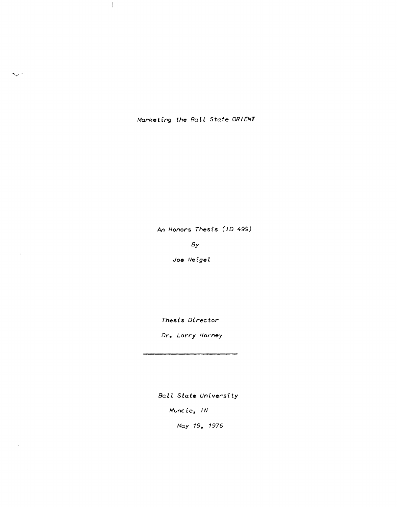*Marketing* **the** *BalL* State *ORIENT* 

 $\mathcal{A}_\mathcal{A}$ 

 $\mathbf{x}_\alpha$  .

 $\bar{\tau}$ 

*An Honors Thesis* (10 499)

*By* 

*Joe ,Veigel* 

*Thesis Director* 

*Dr. Larry Horney* 

*Ball* State *University* 

*Muncie, IN* 

*May* 19, 1976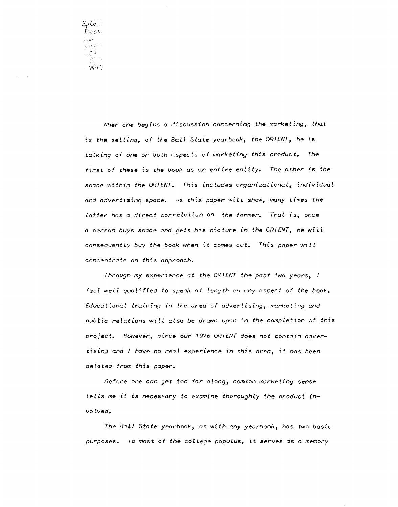Sp Coll thesia فيقيم  $\zeta^2 t \varepsilon^3$ - デュ<br>(う"を -W45

> When one begins a discussion concerning the marketing, that is the selling, of the Ball State yearbook, the ORIENT, he is talking of one or both aspects of marketing this product. The first of these is the book as an entire entity. The other is the space within the ORIENT. This includes organizational, individual and advertising space. As this paper will show, many times the  $latter$  has a direct correlation on the former. That is, once a person buys space and gets his picture in the ORIENT, he will consequentLy buy the book when it comes out. This paper will concentrate on this approach.

> Through my experience at the ORIENT the past two years, <sup>I</sup> feel well qualified to speak at length on any aspect of the book. Educational training in the area of advertising, marketing and public relations will also be drawn upon in the completion of this proJect. However, since our 1976 ORIENT does not contain advertising and I have no real experience in this area, it has been deleted from this paper.

Before one can get too far along, common marketing sense teLls me it is necessary to examine thoroughly the product invo Lved.

The BalL State yearbook, as with any yearbook, has two basic purpcses. To most of the college populus, it serves as a memory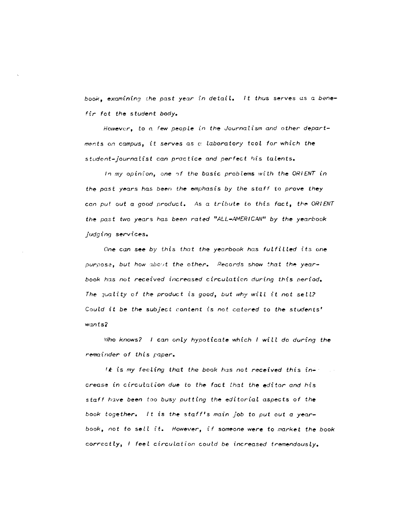book, examining the past year in detail. It thus serves as a benefir fot the student body.

However, to a few people in the Journalism and other departments on campus, it serves as  $\alpha$  laboratory tcol for which the student-journalist can practice and perfect his talents.

In my opinion, one of the basic problems with the ORIENT in the past years has been the emphasis by the staff to prove they can put out a good product. As a tribute to this fact, the ORIENT the past two years has been rated "ALL-AMERICAN" by the yearbook jUdging services.

One can see by this that the yearbook has fulfilled its one purpose, but how about the other. Records show that the yearbook has not received increased circulation during this period. The  ${_{null}}$  of the product is good, but why will it not sell? Could it be the subject content is not catered to the students'  $w$ ants $2$ 

Who knows? I can only hypoticate which I will do during the remainder of this paper.

**It** is my feeling that the book has not received this increase in circulation due to the fact that the editor and his staff have been too busy putting the editorial aspects of the book together. It is the staff's main job to put out a yearbook, not to sell it. However, if someone were to market the book correctly, I feel circulation could be increased tremendously.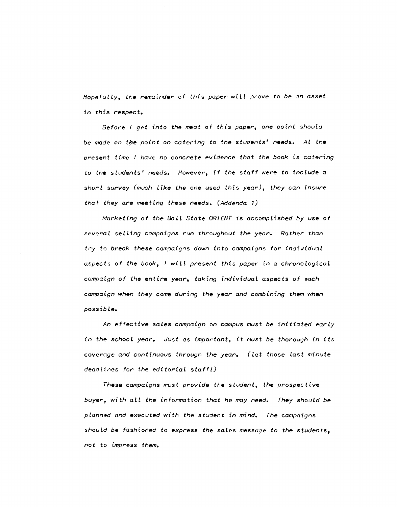*Hopefully, the remainder of this paper will prove* to *be an asset in this respect.* 

*Before I get into the meat of this paper, one point should be made on the point on catering to the students' needs. At the present time I have no concrete evidence that the book* is *catering*  to *the students' needs. However, if the staff* were to *include a short* survey *(much Like the* one used this *year), they can insure that they are meeting* these needs. *(Addenda 1)* 

*/Vfclrketing of the BaLL State ORIENT* is *accomplished by* use *of sevoral selling campaigns run throughout the year. Rather than tl"y to break* these *campaigns down into campaigns for individual aspects of the book,* / *wiLL present this paper in* a *chronological*  campaign of the entire year, taking individual aspects of each *campaign when they* come *during the year and combining them when possible.* 

*An effective* sales *campaign on campus must* be *initiated early*  in *the' school year. Just* as *important, it* must *be thorough in its coverage and continuous through the year. (let those* last *minute deadlines for the editorial* staff!)

These campaigns must provide the student, the prospective *buyer:. with all the information that he may need. They should be pLanned and executed with the student in mind. The campaigns should be fashioned* to *express the sales* message *to the students, not* to *impress them.*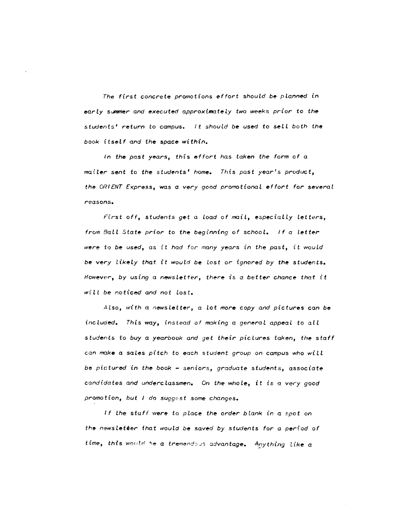The first concrete promotions effort should be planned in  $early$  summer and executed approximately two weeks prior to the stud~nts' *return* to *campus. It should be used* to *sell both the book itself and the space within.* 

*In the past years, this effort has taken the form of* <sup>a</sup> *maHer sent* to *the stUdents' home. This past year's product, the ORIENT Express,* was *a very good promotional effort for several*  reasons.

*FI;rst off, students get a load of mail, especiaLly Letters, from Ball State prior to the beginning of school. If a letter were* tt) *be used,* as it *had for many years in the past,* it *would be very* lik~ly *that* it *wouLd be* lost *or ignored by the* students. *However, by using a newsletter, there is a better chance that it* will be noticed and not lost.

Also, with a newsletter, a lot more copy and pictures can be included. This way, instead of making a general appeal to all students to buy a yearbook and get their pictures taken, the staff can mctke *a* saL~s *pi tch* to each *student group* on *campus who wi It be pictured* in *the book* - seniors, *graduate students,* associate *candidates and* underclassm~n. On *the whoLe, it* is a *very good promotion, but* J *do suggecs* t *some Changes.* 

If the staff were to place the order *blank* in a spot on th~ *noewsLeUer that would* b~ *saved by students for* a *period* of  $time,$  this would be a tremendous advantage. Anything like a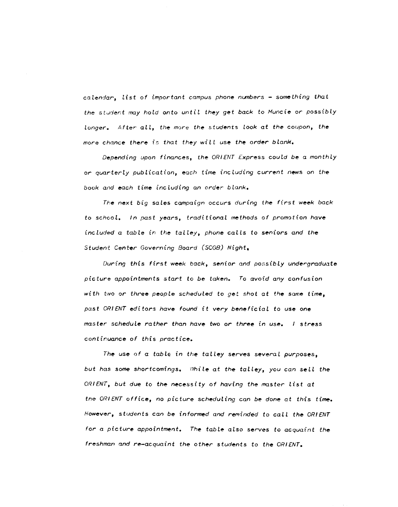$cal$ ralendar, list of important campus phone numbers  $-$  something that the student may hold onto until they get back to Muncie or possibly longer. After all, the more the students Look at the coupon, the more chance there is that they will use the order blank.

Depending upon finances, the ORIENT Express could be a monthly or quarterly publication, each time including current news on the book and each time inc luding an order bLank.

The next big sales campaign occurs during the first week back to schooL. In past years, traditionaL methods of promotion have included a table in the talley, phone calls to seniors and the Student Center Governing Board (SCGB) Night,

During this first week back, senior and possibly undergraduate picture appointments start to be taken. To avoid any confusion with two or three people scheduled to get shot at the same time, past ORIENT editors have found it very beneficial to use one master schedule rather than have two or three in use. I stress continuance of this practice.

The use of a table in the talley serves several purposes, but has some shortcomings. While at the talley, you can sell the ORIENT, but due to the necessity of having the master list at the ORIENT office, no picture scheduling can be done at this time. However, students can be informed and reminded to call the ORIENT for a picture appointment. The table also serves to acquaint the freshman and re-acquaint the other students to the ORIENT.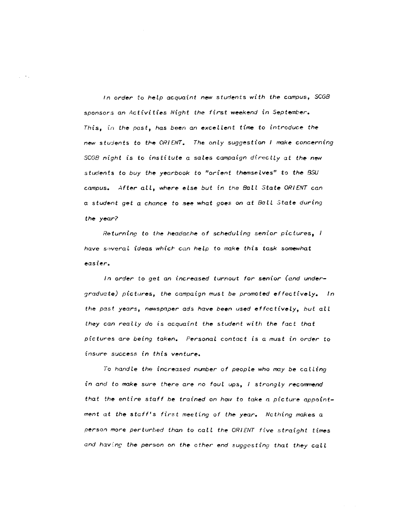In order to help acquaint new students with the campus, SCGB sponsors an Activities Night the first weekend in September. This, in the past, has been an excellent time to introduce the new students to the ORIENT. The only suggestion I make concerning SCGB night is to institute a sales campaign directly at the new students to buy the yearbook to "orient themselves" to the BSU campus. After all, where eLse but in the Ball State ORIENT can a student get a chance to see what goes on at Ball State during the year?

 $\sim$   $\epsilon$   $_{\star}$ 

Returning to the headache of scheduling senior pictures,  $I$ have several ideas which can help to make this task somewhat easier.

In order to get an increased turnout for senior (and undergraduate) pictures, the campaign must be promoted effectively. In the past years, newspaper ads have been used effectively, but all they can really do is acquaint the student with the fact that pictures are being taken. Personal contact is a must in order to insure success in this venture.

To handle the increased number of people who may be calling in and to make sure there are no foul ups, I strongly recommend that the entire staff be trained on how to take a picture appointment at the staff's first meeting of the year. Ncthing makes <sup>a</sup> person more perturbed than to call the ORIENT five straight times and having the person on the other end suggesting that they call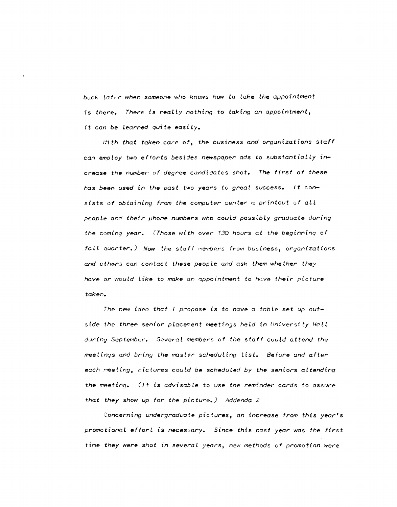back later when someone who knows how to take the appointment is there. There is reaLly nothing to taking an appointment, it can be learned quite easily.

With that taken care of, the business and organizations staff can employ two efforts besides newspaper ads to substantially increase the number of degree candidates shot. The first of these has been used in the past two years to great success. It consists of obtaining from the computer center  $a$  printout of all people and their phone numbers who could possibly graduate during the coming year. (Those with over 130 hours at the beginning of foll quarter.) Now the staff members from business, organizations and others can contact these people and ask them whether they have or would like to make an appointment to have their picture taken.

The new idea that I propose is to have a table set up outside the three senior placement meetings held in University Hall during September. Several members of the staff could attend the meetings and bring the master scheduling list. Before and after each meeting, pictures could be scheduled by the seniors attending the meeting. (It is advisable to use the reminder cards to assure that they show up for the picture.) Addenda 2

Concerning undergradvote pictures, an increase from this year's promotional effort is necessary. Since this past year was the first time they were shot in several years, new methods of promotion were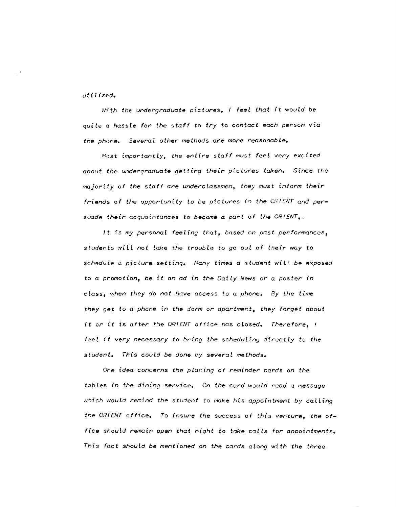utilized.

With the undergraduate pictures, I feel that *it* would be quite a hassle for the staff to try to contact each person via the phone. Several other methods are more reasonable.

Most importantly, the entire staff must feel very excited about the undergraduate get ting their pic tures taken. Since the majority of the staff are underclassmen, they must inform their friends of the opportunity to be pictures in the  $ORIENT$  and persuade their acquaintances to become a part of the ORIENT.

It is my personal feeling that, based on past performances, students will not take the trouble to go out of their way to schedule a picture setting. Many times a student will be exposed to a promotion, be it an ad in the Daily News or a poster in class, when they do not have access to a phone. By the time they get to a phone in the dorm or apartment, they forget about it or it is after the ORIENT office has closed. Therefore, I feel it very necessary to bring the scheduling directly to the student. This could be done by several methods.

One idea concerns the placing of reminder cards on the tables in the dining service. On the card would read a message which would remind the student to make his appointment by calling the ORIENT office. To insure the success of this venture, the office should remain open that night to take calls for appointments. This fact should be mentioned on the cards along with the three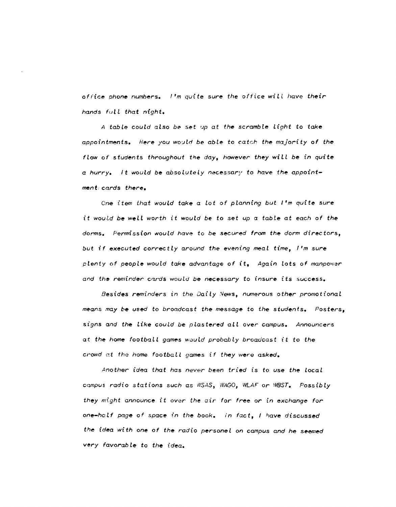*of rice phone numbers. "m qui te sure the office* wi *L l* have *their hands full that night.* 

*A table couLd also be set* ~p *at the scramble Light to take appointments. Here* you wo~lrl *be able* to *catch the majority of the flow* of *students throughout the day, however they* wi *Ll be in quite*  a *hurry.* It would be absolutely necessary to have the appoint*ment. cards there.* 

One *item that wouLd take* a *lot of planning but I'm quite* sure  $i$ t would be well worth it would be to set *up* a table at each of the *dorms.* Permission *would have* to *be* secured *from the dorm directors, but if executed correctly around the evening meal time, I'm* sure plenty of people would take advantage of it, Again lots of manpower and the reminder cards would be necessary to insure its success.

Besides reminders in the Daily News, numerous other promotional *means /'nay* **be** used to *broadcast the message* to *the* students. Posters, signs *and the like could be* plastered *allover campus. Announcers at the home football games wouLd probably broadcast it* to *the crowd at the home football games if they were asked.* 

*Another idea that has never been tried* is *to* use *the local C(ImPUS radio* stations *such* as WSAS, *WAGO, WLAF or* WeST. *Poss ib ly they might announce* it *over the air for free* or in *exchange for one-he!lf page of space in the book. in fact, I* have discussed *the* idea *with one of the radio personel* on *campus and he* seemed *very favorable* to *the idea.*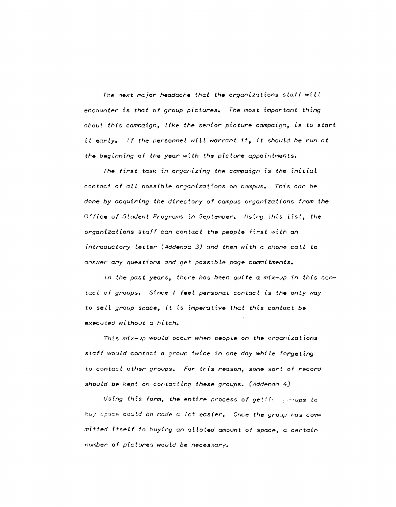*The next major headache that the organizations staff will encounter* is *that of group pictures. The most important thing 2bout this campaign, like the senior picture campaign,* is *to start*  it *early. I f the personnel wi II warrant* it, *it should be run at the beginning of the year with the picture appointments.* 

*The first task in organizing the campaign* is *the initial contact of all possible organizations on campus. This can be*  done by acquiring the directory of campus organizations from the Office of Student Programs in September. Using this list, the *organizations staff can contact the people first with an introductory Letter (Addenda* 3) *and then with* a *phone caLL to*  answer *any questions and get* possible *page conrnitments.* 

In the past years, there has been quite a mix-up in this contact of groups. Since *I* feel personal contact is the only way to *seU group space, it is imperative that this contact be executed without* a *hitch.* 

*This mix-up would occur* when *people on the organizations staff would contact* a *group twice in one day while forgeting*  to contact *other groups. For this reason, some sort* of *record should be kept on contacting these groups. (Addenda 4)* 

*Using this form, the entire process of gettine proups to* buy space could be made a let easier. Once the group has com*mitted itself to buying an aUoted amount of space,* a *certain*  number of pictures would be necessary.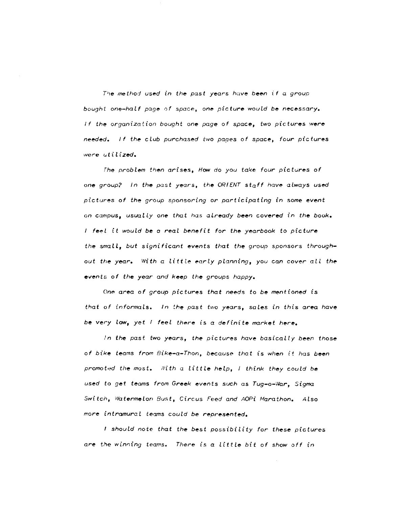The method used in the past years have been if a group *bought one-half page of space*, one *picture* would be necessary. *If the organization bought one page of space, two pictures were needed. If the club purchased two papes of space, four pictures were uti* li *zed.* 

*The problem then* arises, *How do you take four pichires of one group? In the past* years, *the ORIENT staff have always used p:ktures of the group sponsoring or part icipating in some event*  on *campus, usually one that has aLready been covered in the book. I* feel it would be a real benefit for the yearbook to picture the small, but significant events that the group sponsors through*out the year.* With a little early planning, you can cover all the *events of the year and keep the groups happy.* 

*One area of group pictures that needs to be mentioned* is *that ()f informals. In the past* two years, sales *in this area have be very low, yet feel there* is a *definite market* here.

*in the past two years, the pictures have* basically *been those of bike teams from Bike-a-Thon,* becaus('o *that* is *when it* has *been promoted the most. Nith* a *littLe help, I think they could be used to get teams from Greek events such* as *Tug-o-War, Sigma Switch, Watermelon Bust,* Circus *Feed and AOPi Marathon. Also more intramural teams could be represented.* 

*, should note that the best possibility for these pictures are the winning* teams. *There* is a *little bit of* show *off in*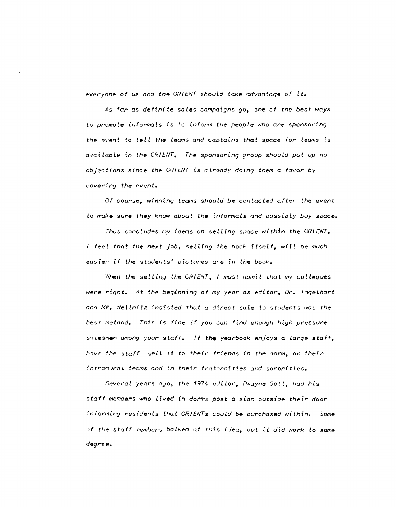everyone of us and the ORIENT should take advantage of it.

As far as definite sales campaigns go, one of the best ways to promote informals is to inform the people who are sponsoring the event to tell the teams and captains that space for teams is avaiLable tn the ORIENT. The sponsoring group should put up no objections since the OR/ENT is already doing them a favor *by*  covering the event.

Of course, winning teams should be contacted after the event to make sure they know about the informals and possibly buy space.

Thus concludes my ideas on selling space within the ORIENT.  $I$  feel that the next job, selling the book itself, will be much easier if the students' pictures are in the book.

When the selling the CRIENT, I must admit that my collegues were right. At the beginning of my year as editor, Dr. Ingelhart and Mr. Wellnitz insisted that a direct sale to students was the best method. This is fine if you can find enough high pressure salesmen among your staff. If the yearbook enjoys a large staff, have the staff sell it to their friends in the dorm, on their intramural teams and in their fraternities and sororities.

Several years ago, the 1974 editor, Dwayne Gott, had his staff members who lived in dorms post a sign outside their door informing residents that ORIENTs could be purchased within. Some of the staff members balked at this idea, but it did work to some degree.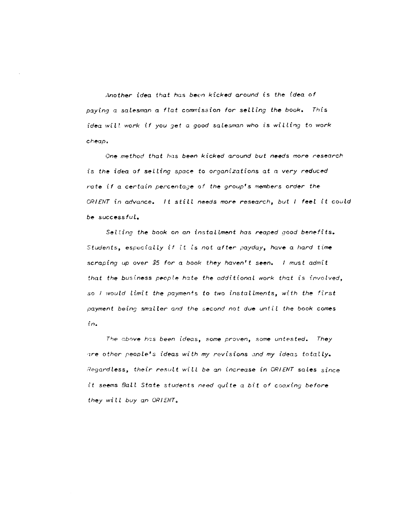*Another idea that* has *been kicked around* is *the idea of paying* a salesman a *flat* corrmission *for selling the book. This idea wi U work* if *you* Jet a *good saLesman who is wil ling to work cheap,* 

*One method that has been kicked around but* needs *more research*  is the idea of selling space to *organizations* at *a* very reduced rate if a certain percentage of the group's members order the *ORIENT in advance.* It *still needs more research, but* I *feel* it *could be* success *ful.* 

*Selling the book on an instalLment* has *reaped good benefits. Students, especialLy if it* is *not after payday, have* a *hard time scraping up over \$5 for a book they haven't seen. I must admit that the business people hate the additional work that is involved,* so *l* would limit the payments to two installments, with the first *payme·nt being smaller and the second no t due unt i* l *the book* comes *in.* 

*Tlr,e c.bove hr;s been ideas, some proven,* some *untested. They '1re other ,neople's ideas with my revisions:md my ideas totally.*  !~egar'dless, *their result wi* tl *be an increase in ORIENT saLes* since it SE~ems *Ball State students* n~ed *quite a bit of coaxing before they wilL buy an ORIENTo*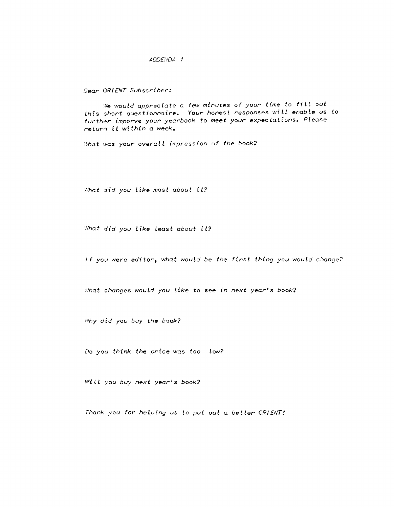## *ADD£i'JQA 1*

## Dear ORIENT Subscriber:

We would appreciate a few minutes of your time to fill out this short questionnaire. Your honest responses wilL enabte us to further imporve your yearbook to meet your expectations. Please return *it* within a week.

What was your overall impression of the book?

What did you like most about it?

What did you like least about it?

If you were editor, what would be the first thing you would change?

What changes would you like to see in next year's book?

Nhy did you buy the book?

Do you think the price was too low?

Will you buy next year's book?

Thank you for helping us to put out a better ORIENT!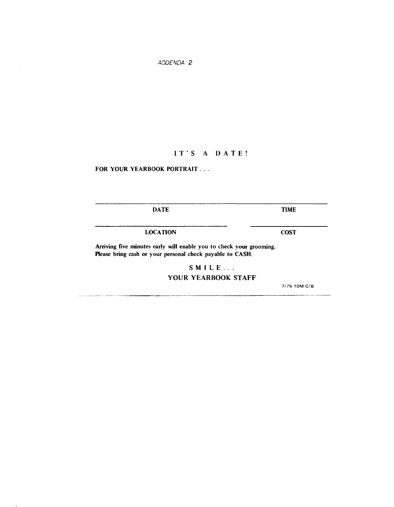*ADDENDA 2* 

## IT'S A DATE!

FOR YOUR YEARBOOK PORTRAIT . . .

DATE

TIME

LOCATION

**COST** 

Arriving five minutes early will enable you to check your grooming. Please bring cash or your personal check payable to CASH.

SMILE ...

YOUR YEARBOOK STAFF

7175-10M-C/8

 $\bar{z}$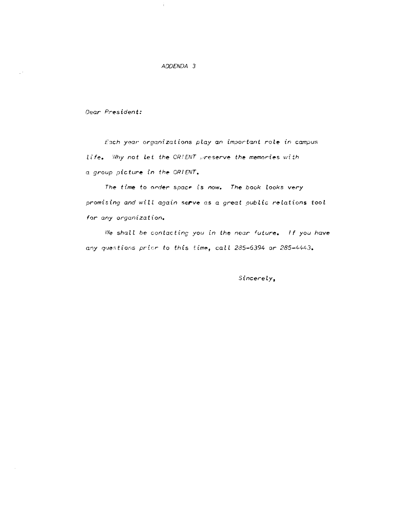## ADDENDA 3

Dear President:

Each year organizations play an important role in campus Life. Why not let the OR! ENT preserve the memories with a group picture in the ORIENT.

The time to order space is now. The book looks very promising and will again serve as a great public relations tool for any organization.

We shall be contacting you in the near future. If you have any questions prior to this time, call 285-6394 or 285-4443.

SincereLy,